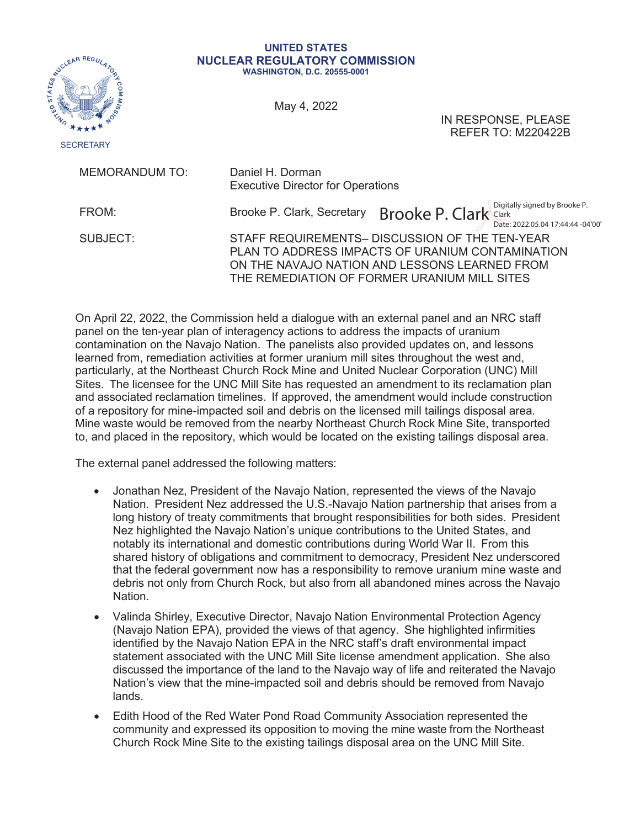

## **UNITED STATES NUCLEAR REGULATORY COMMISSION WASHINGTON, D.C. 20555-0001**

May 4, 2022

IN RESPONSE, PLEASE REFER TO: M220422B

| <b>MEMORANDUM TO:</b> | Daniel H. Dorman<br><b>Executive Director for Operations</b>                                                                                                                                        |
|-----------------------|-----------------------------------------------------------------------------------------------------------------------------------------------------------------------------------------------------|
| FROM:                 | Brooke P. Clark Clark Starts by Brooke P.<br>Brooke P. Clark, Secretary<br>Date: 2022.05.04 17:44:44 -04'00'                                                                                        |
| SUBJECT:              | STAFF REQUIREMENTS- DISCUSSION OF THE TEN-YEAR<br>PLAN TO ADDRESS IMPACTS OF URANIUM CONTAMINATION<br>ON THE NAVAJO NATION AND LESSONS LEARNED FROM<br>THE REMEDIATION OF FORMER URANIUM MILL SITES |

On April 22, 2022, the Commission held a dialogue with an external panel and an NRC staff panel on the ten-year plan of interagency actions to address the impacts of uranium contamination on the Navajo Nation. The panelists also provided updates on, and lessons learned from, remediation activities at former uranium mill sites throughout the west and, particularly, at the Northeast Church Rock Mine and United Nuclear Corporation (UNC) Mill Sites. The licensee for the UNC Mill Site has requested an amendment to its reclamation plan and associated reclamation timelines. If approved, the amendment would include construction of a repository for mine-impacted soil and debris on the licensed mill tailings disposal area. Mine waste would be removed from the nearby Northeast Church Rock Mine Site, transported to, and placed in the repository, which would be located on the existing tailings disposal area.

The external panel addressed the following matters:

- Jonathan Nez, President of the Navajo Nation, represented the views of the Navajo Nation. President Nez addressed the U.S.-Navajo Nation partnership that arises from a long history of treaty commitments that brought responsibilities for both sides. President Nez highlighted the Navajo Nation's unique contributions to the United States, and notably its international and domestic contributions during World War II. From this shared history of obligations and commitment to democracy, President Nez underscored that the federal government now has a responsibility to remove uranium mine waste and debris not only from Church Rock, but also from all abandoned mines across the Navajo Nation.
- x Valinda Shirley, Executive Director, Navajo Nation Environmental Protection Agency (Navajo Nation EPA), provided the views of that agency. She highlighted infirmities identified by the Navajo Nation EPA in the NRC staff's draft environmental impact statement associated with the UNC Mill Site license amendment application. She also discussed the importance of the land to the Navajo way of life and reiterated the Navajo Nation's view that the mine-impacted soil and debris should be removed from Navajo lands.
- Edith Hood of the Red Water Pond Road Community Association represented the community and expressed its opposition to moving the mine waste from the Northeast Church Rock Mine Site to the existing tailings disposal area on the UNC Mill Site.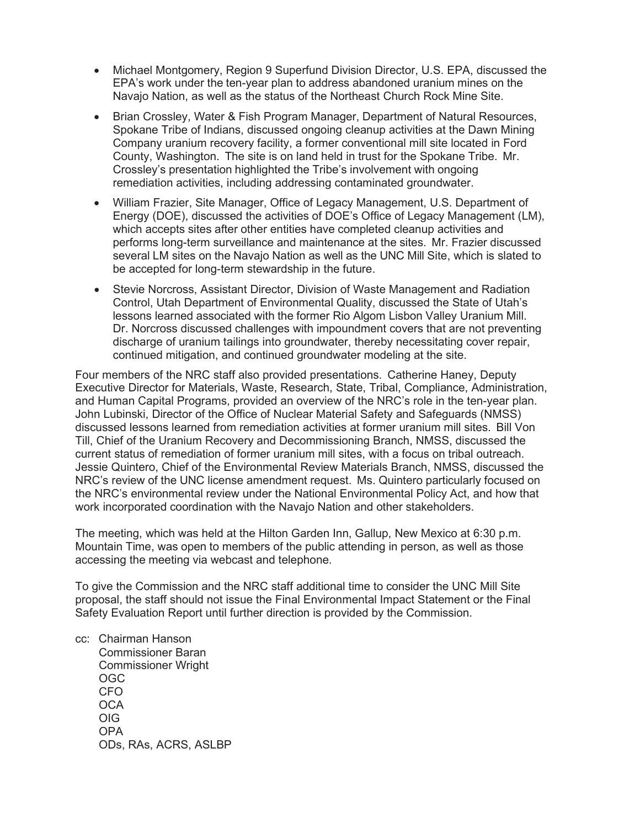- Michael Montgomery, Region 9 Superfund Division Director, U.S. EPA, discussed the EPA's work under the ten-year plan to address abandoned uranium mines on the Navajo Nation, as well as the status of the Northeast Church Rock Mine Site.
- Brian Crossley, Water & Fish Program Manager, Department of Natural Resources, Spokane Tribe of Indians, discussed ongoing cleanup activities at the Dawn Mining Company uranium recovery facility, a former conventional mill site located in Ford County, Washington. The site is on land held in trust for the Spokane Tribe. Mr. Crossley's presentation highlighted the Tribe's involvement with ongoing remediation activities, including addressing contaminated groundwater.
- William Frazier, Site Manager, Office of Legacy Management, U.S. Department of Energy (DOE), discussed the activities of DOE's Office of Legacy Management (LM), which accepts sites after other entities have completed cleanup activities and performs long-term surveillance and maintenance at the sites. Mr. Frazier discussed several LM sites on the Navajo Nation as well as the UNC Mill Site, which is slated to be accepted for long-term stewardship in the future.
- Stevie Norcross, Assistant Director, Division of Waste Management and Radiation Control, Utah Department of Environmental Quality, discussed the State of Utah's lessons learned associated with the former Rio Algom Lisbon Valley Uranium Mill. Dr. Norcross discussed challenges with impoundment covers that are not preventing discharge of uranium tailings into groundwater, thereby necessitating cover repair, continued mitigation, and continued groundwater modeling at the site.

Four members of the NRC staff also provided presentations. Catherine Haney, Deputy Executive Director for Materials, Waste, Research, State, Tribal, Compliance, Administration, and Human Capital Programs, provided an overview of the NRC's role in the ten-year plan. John Lubinski, Director of the Office of Nuclear Material Safety and Safeguards (NMSS) discussed lessons learned from remediation activities at former uranium mill sites. Bill Von Till, Chief of the Uranium Recovery and Decommissioning Branch, NMSS, discussed the current status of remediation of former uranium mill sites, with a focus on tribal outreach. Jessie Quintero, Chief of the Environmental Review Materials Branch, NMSS, discussed the NRC's review of the UNC license amendment request. Ms. Quintero particularly focused on the NRC's environmental review under the National Environmental Policy Act, and how that work incorporated coordination with the Navajo Nation and other stakeholders.

The meeting, which was held at the Hilton Garden Inn, Gallup, New Mexico at 6:30 p.m. Mountain Time, was open to members of the public attending in person, as well as those accessing the meeting via webcast and telephone.

To give the Commission and the NRC staff additional time to consider the UNC Mill Site proposal, the staff should not issue the Final Environmental Impact Statement or the Final Safety Evaluation Report until further direction is provided by the Commission.

cc: Chairman Hanson Commissioner Baran Commissioner Wright OGC CFO **OCA**  OIG OPA ODs, RAs, ACRS, ASLBP